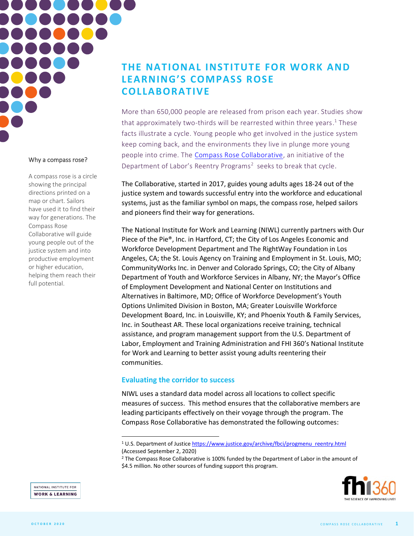

## Why a compass rose?

A compass rose is a circle showing the principal directions printed on a map or chart. Sailors have used it to find their way for generations. The Compass Rose Collaborative will guide young people out of the justice system and into productive employment or higher education, helping them reach their full potential.

# **THE NATIONAL INSTITUTE FOR WORK AND LEARNING'S COMPASS ROSE COLLABORATIVE**

More than 650,000 people are released from prison each year. Studies show that approximately two-thirds will be rearrested within three years. <sup>1</sup> These facts illustrate a cycle. Young people who get involved in the justice system keep coming back, and the environments they live in plunge more young people into crime. The [Compass Rose Collaborative,](https://www.fhi360.org/projects/compass-rose-collaborative) an initiative of the Department of Labor's Reentry Programs<sup>2</sup> seeks to break that cycle.

The Collaborative, started in 2017, guides young adults ages 18-24 out of the justice system and towards successful entry into the workforce and educational systems, just as the familiar symbol on maps, the compass rose, helped sailors and pioneers find their way for generations.

The National Institute for Work and Learning (NIWL) currently partners with Our Piece of the Pie®, Inc. in Hartford, CT; the City of Los Angeles Economic and Workforce Development Department and The RightWay Foundation in Los Angeles, CA; the St. Louis Agency on Training and Employment in St. Louis, MO; CommunityWorks Inc. in Denver and Colorado Springs, CO; the City of Albany Department of Youth and Workforce Services in Albany, NY; the Mayor's Office of Employment Development and National Center on Institutions and Alternatives in Baltimore, MD; Office of Workforce Development's Youth Options Unlimited Division in Boston, MA; Greater Louisville Workforce Development Board, Inc. in Louisville, KY; and Phoenix Youth & Family Services, Inc. in Southeast AR. These local organizations receive training, technical assistance, and program management support from the U.S. Department of Labor, Employment and Training Administration and FHI 360's National Institute for Work and Learning to better assist young adults reentering their communities.

# **Evaluating the corridor to success**

NIWL uses a standard data model across all locations to collect specific measures of success. This method ensures that the collaborative members are leading participants effectively on their voyage through the program. The Compass Rose Collaborative has demonstrated the following outcomes:

<sup>&</sup>lt;sup>2</sup> The Compass Rose Collaborative is 100% funded by the Department of Labor in the amount of \$4.5 million. No other sources of funding support this program.



NATIONAL INSTITUTE FOR **WORK & LEARNING** 

<sup>&</sup>lt;sup>1</sup> U.S. Department of Justic[e https://www.justice.gov/archive/fbci/progmenu\\_reentry.html](https://www.justice.gov/archive/fbci/progmenu_reentry.html) (Accessed September 2, 2020)